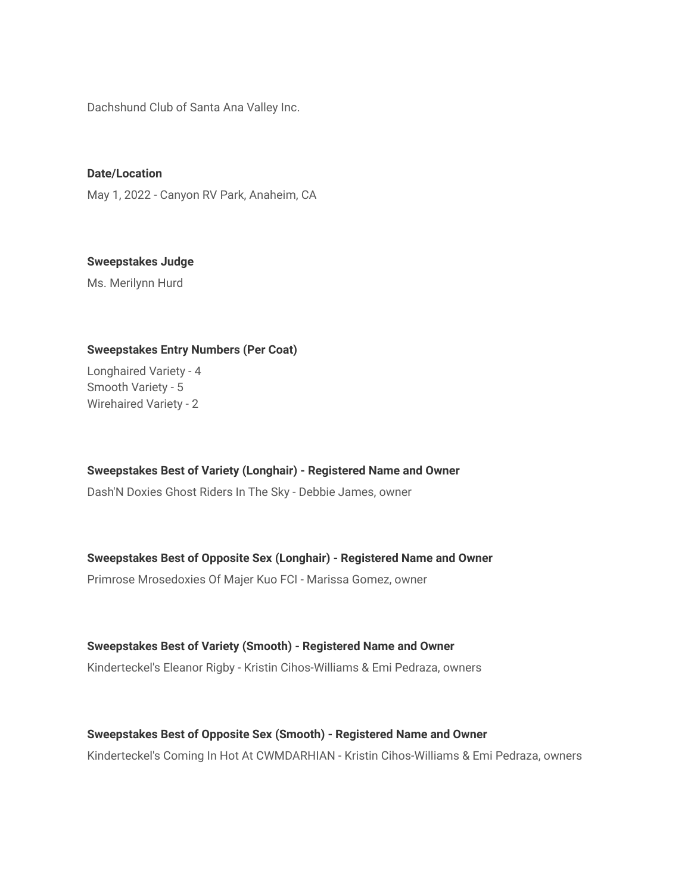Dachshund Club of Santa Ana Valley Inc.

**Date/Location** May 1, 2022 - Canyon RV Park, Anaheim, CA

**Sweepstakes Judge**

Ms. Merilynn Hurd

# **Sweepstakes Entry Numbers (Per Coat)**

Longhaired Variety - 4 Smooth Variety - 5 Wirehaired Variety - 2

**Sweepstakes Best of Variety (Longhair) - Registered Name and Owner**

Dash'N Doxies Ghost Riders In The Sky - Debbie James, owner

## **Sweepstakes Best of Opposite Sex (Longhair) - Registered Name and Owner**

Primrose Mrosedoxies Of Majer Kuo FCI - Marissa Gomez, owner

**Sweepstakes Best of Variety (Smooth) - Registered Name and Owner** Kinderteckel's Eleanor Rigby - Kristin Cihos-Williams & Emi Pedraza, owners

## **Sweepstakes Best of Opposite Sex (Smooth) - Registered Name and Owner**

Kinderteckel's Coming In Hot At CWMDARHIAN - Kristin Cihos-Williams & Emi Pedraza, owners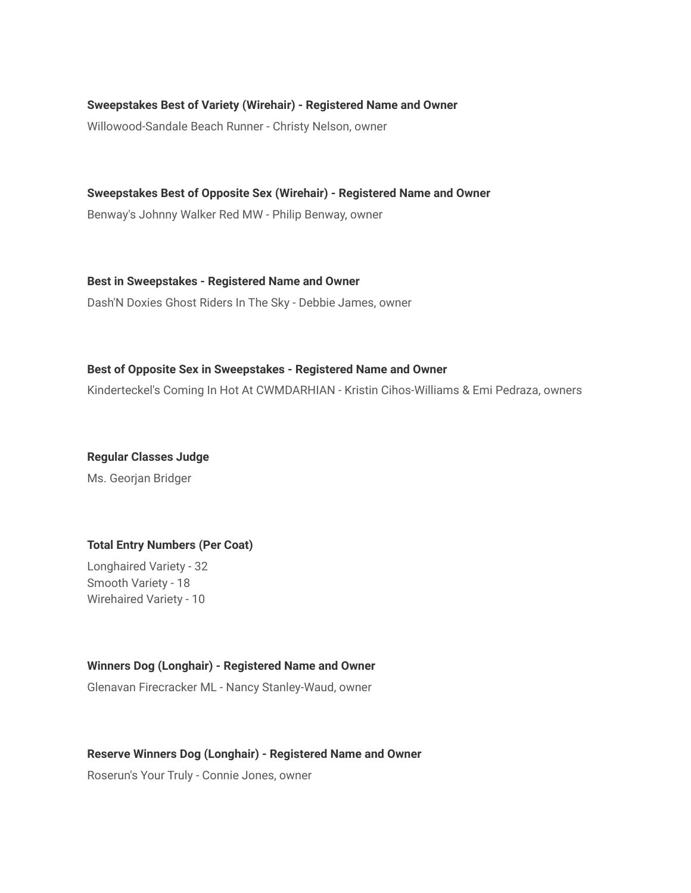**Sweepstakes Best of Variety (Wirehair) - Registered Name and Owner**

Willowood-Sandale Beach Runner - Christy Nelson, owner

**Sweepstakes Best of Opposite Sex (Wirehair) - Registered Name and Owner** Benway's Johnny Walker Red MW - Philip Benway, owner

**Best in Sweepstakes - Registered Name and Owner** Dash'N Doxies Ghost Riders In The Sky - Debbie James, owner

### **Best of Opposite Sex in Sweepstakes - Registered Name and Owner**

Kinderteckel's Coming In Hot At CWMDARHIAN - Kristin Cihos-Williams & Emi Pedraza, owners

**Regular Classes Judge**

Ms. Georjan Bridger

# **Total Entry Numbers (Per Coat)**

Longhaired Variety - 32 Smooth Variety - 18 Wirehaired Variety - 10

## **Winners Dog (Longhair) - Registered Name and Owner**

Glenavan Firecracker ML - Nancy Stanley-Waud, owner

### **Reserve Winners Dog (Longhair) - Registered Name and Owner**

Roserun's Your Truly - Connie Jones, owner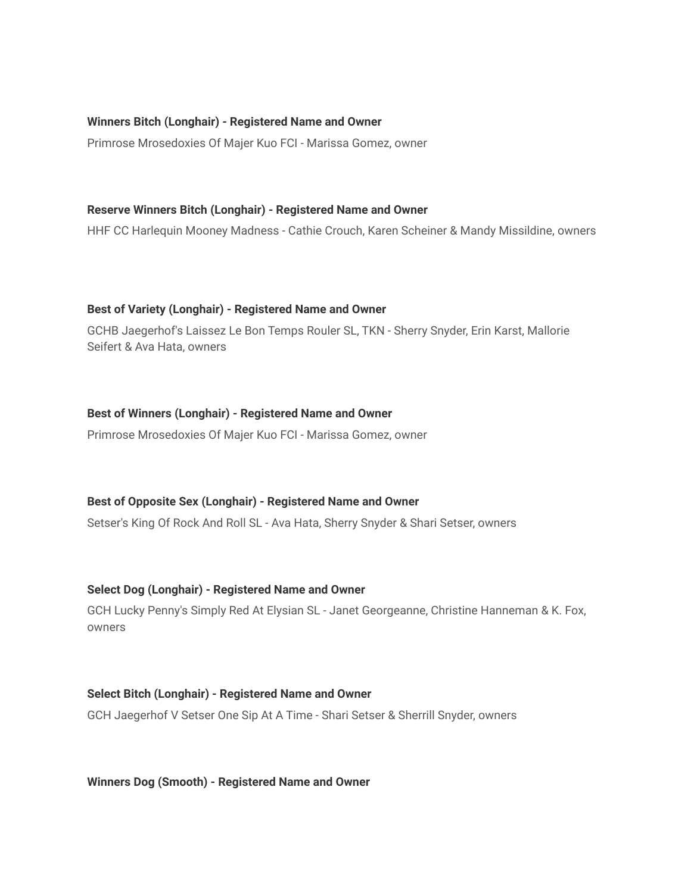### **Winners Bitch (Longhair) - Registered Name and Owner**

Primrose Mrosedoxies Of Majer Kuo FCI - Marissa Gomez, owner

#### **Reserve Winners Bitch (Longhair) - Registered Name and Owner**

HHF CC Harlequin Mooney Madness - Cathie Crouch, Karen Scheiner & Mandy Missildine, owners

#### **Best of Variety (Longhair) - Registered Name and Owner**

GCHB Jaegerhof's Laissez Le Bon Temps Rouler SL, TKN - Sherry Snyder, Erin Karst, Mallorie Seifert & Ava Hata, owners

#### **Best of Winners (Longhair) - Registered Name and Owner**

Primrose Mrosedoxies Of Majer Kuo FCI - Marissa Gomez, owner

### **Best of Opposite Sex (Longhair) - Registered Name and Owner**

Setser's King Of Rock And Roll SL - Ava Hata, Sherry Snyder & Shari Setser, owners

### **Select Dog (Longhair) - Registered Name and Owner**

GCH Lucky Penny's Simply Red At Elysian SL - Janet Georgeanne, Christine Hanneman & K. Fox, owners

#### **Select Bitch (Longhair) - Registered Name and Owner**

GCH Jaegerhof V Setser One Sip At A Time - Shari Setser & Sherrill Snyder, owners

**Winners Dog (Smooth) - Registered Name and Owner**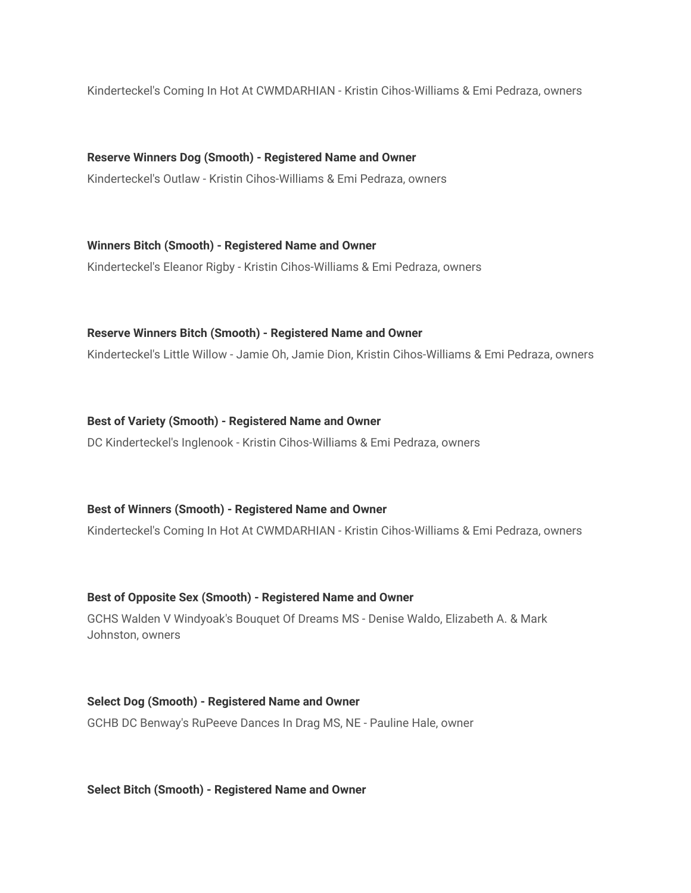Kinderteckel's Coming In Hot At CWMDARHIAN - Kristin Cihos-Williams & Emi Pedraza, owners

**Reserve Winners Dog (Smooth) - Registered Name and Owner** Kinderteckel's Outlaw - Kristin Cihos-Williams & Emi Pedraza, owners

**Winners Bitch (Smooth) - Registered Name and Owner** Kinderteckel's Eleanor Rigby - Kristin Cihos-Williams & Emi Pedraza, owners

### **Reserve Winners Bitch (Smooth) - Registered Name and Owner**

Kinderteckel's Little Willow - Jamie Oh, Jamie Dion, Kristin Cihos-Williams & Emi Pedraza, owners

**Best of Variety (Smooth) - Registered Name and Owner** DC Kinderteckel's Inglenook - Kristin Cihos-Williams & Emi Pedraza, owners

#### **Best of Winners (Smooth) - Registered Name and Owner**

Kinderteckel's Coming In Hot At CWMDARHIAN - Kristin Cihos-Williams & Emi Pedraza, owners

#### **Best of Opposite Sex (Smooth) - Registered Name and Owner**

GCHS Walden V Windyoak's Bouquet Of Dreams MS - Denise Waldo, Elizabeth A. & Mark Johnston, owners

**Select Dog (Smooth) - Registered Name and Owner** GCHB DC Benway's RuPeeve Dances In Drag MS, NE - Pauline Hale, owner

**Select Bitch (Smooth) - Registered Name and Owner**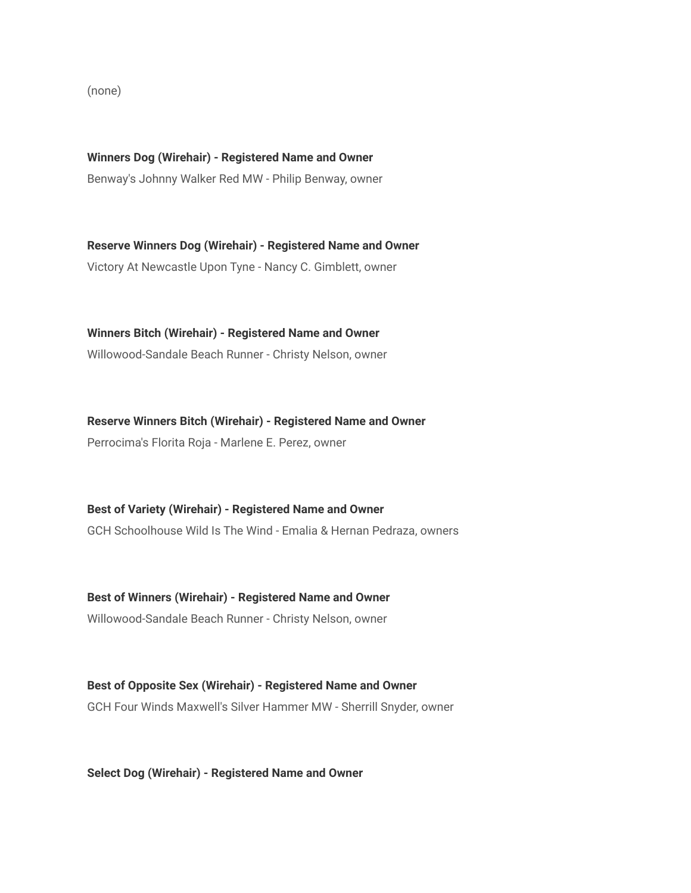(none)

**Winners Dog (Wirehair) - Registered Name and Owner** Benway's Johnny Walker Red MW - Philip Benway, owner

**Reserve Winners Dog (Wirehair) - Registered Name and Owner** Victory At Newcastle Upon Tyne - Nancy C. Gimblett, owner

**Winners Bitch (Wirehair) - Registered Name and Owner** Willowood-Sandale Beach Runner - Christy Nelson, owner

**Reserve Winners Bitch (Wirehair) - Registered Name and Owner** Perrocima's Florita Roja - Marlene E. Perez, owner

**Best of Variety (Wirehair) - Registered Name and Owner** GCH Schoolhouse Wild Is The Wind - Emalia & Hernan Pedraza, owners

**Best of Winners (Wirehair) - Registered Name and Owner**

Willowood-Sandale Beach Runner - Christy Nelson, owner

**Best of Opposite Sex (Wirehair) - Registered Name and Owner** GCH Four Winds Maxwell's Silver Hammer MW - Sherrill Snyder, owner

**Select Dog (Wirehair) - Registered Name and Owner**